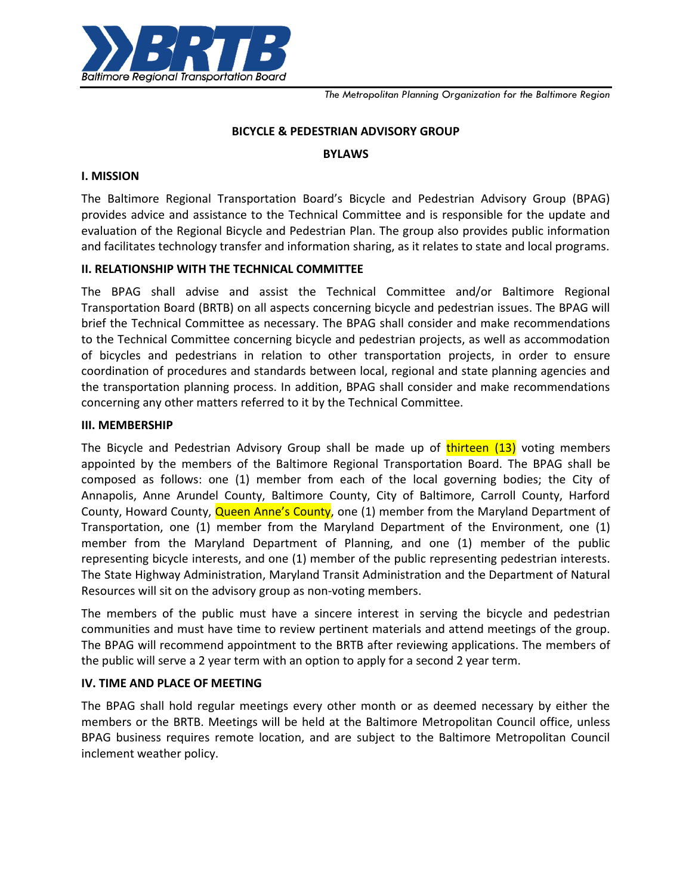

*The Metropolitan Planning Organization for the Baltimore Region*

#### **BICYCLE & PEDESTRIAN ADVISORY GROUP**

#### **BYLAWS**

#### **I. MISSION**

The Baltimore Regional Transportation Board's Bicycle and Pedestrian Advisory Group (BPAG) provides advice and assistance to the Technical Committee and is responsible for the update and evaluation of the Regional Bicycle and Pedestrian Plan. The group also provides public information and facilitates technology transfer and information sharing, as it relates to state and local programs.

#### **II. RELATIONSHIP WITH THE TECHNICAL COMMITTEE**

The BPAG shall advise and assist the Technical Committee and/or Baltimore Regional Transportation Board (BRTB) on all aspects concerning bicycle and pedestrian issues. The BPAG will brief the Technical Committee as necessary. The BPAG shall consider and make recommendations to the Technical Committee concerning bicycle and pedestrian projects, as well as accommodation of bicycles and pedestrians in relation to other transportation projects, in order to ensure coordination of procedures and standards between local, regional and state planning agencies and the transportation planning process. In addition, BPAG shall consider and make recommendations concerning any other matters referred to it by the Technical Committee.

#### **III. MEMBERSHIP**

The Bicycle and Pedestrian Advisory Group shall be made up of thirteen (13) voting members appointed by the members of the Baltimore Regional Transportation Board. The BPAG shall be composed as follows: one (1) member from each of the local governing bodies; the City of Annapolis, Anne Arundel County, Baltimore County, City of Baltimore, Carroll County, Harford County, Howard County, **Queen Anne's County**, one (1) member from the Maryland Department of Transportation, one (1) member from the Maryland Department of the Environment, one (1) member from the Maryland Department of Planning, and one (1) member of the public representing bicycle interests, and one (1) member of the public representing pedestrian interests. The State Highway Administration, Maryland Transit Administration and the Department of Natural Resources will sit on the advisory group as non-voting members.

The members of the public must have a sincere interest in serving the bicycle and pedestrian communities and must have time to review pertinent materials and attend meetings of the group. The BPAG will recommend appointment to the BRTB after reviewing applications. The members of the public will serve a 2 year term with an option to apply for a second 2 year term.

#### **IV. TIME AND PLACE OF MEETING**

The BPAG shall hold regular meetings every other month or as deemed necessary by either the members or the BRTB. Meetings will be held at the Baltimore Metropolitan Council office, unless BPAG business requires remote location, and are subject to the Baltimore Metropolitan Council inclement weather policy.